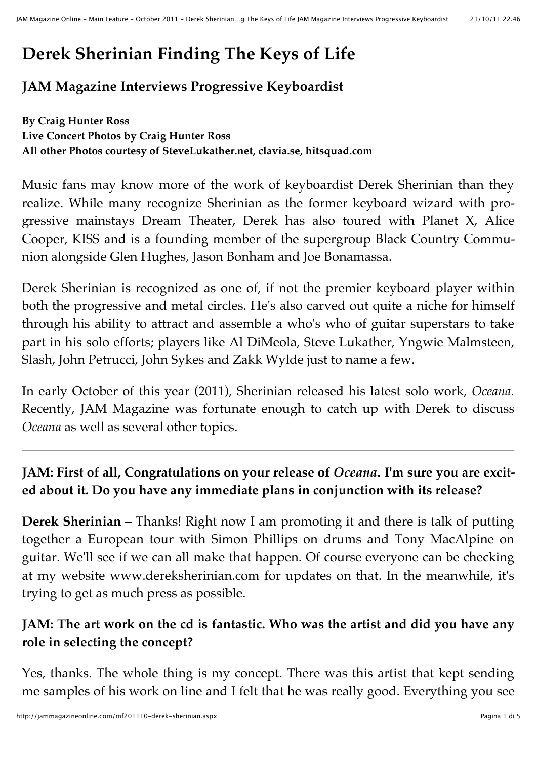# **Derek Sherinian Finding The Keys of Life**

# **JAM Magazine Interviews Progressive Keyboardist**

**By Craig Hunter Ross Live Concert Photos by Craig Hunter Ross All other Photos courtesy of SteveLukather.net, clavia.se, hitsquad.com**

Music fans may know more of the work of keyboardist Derek Sherinian than they realize. While many recognize Sherinian as the former keyboard wizard with progressive mainstays Dream Theater, Derek has also toured with Planet X, Alice Cooper, KISS and is a founding member of the supergroup Black Country Communion alongside Glen Hughes, Jason Bonham and Joe Bonamassa.

Derek Sherinian is recognized as one of, if not the premier keyboard player within both the progressive and metal circles. He's also carved out quite a niche for himself through his ability to attract and assemble a who's who of guitar superstars to take part in his solo efforts; players like Al DiMeola, Steve Lukather, Yngwie Malmsteen, Slash, John Petrucci, John Sykes and Zakk Wylde just to name a few.

In early October of this year (2011), Sherinian released his latest solo work, *Oceana*. Recently, JAM Magazine was fortunate enough to catch up with Derek to discuss *Oceana* as well as several other topics.

# **JAM: First of all, Congratulations on your release of** *Oceana***. I'm sure you are excited about it. Do you have any immediate plans in conjunction with its release?**

**Derek Sherinian –** Thanks! Right now I am promoting it and there is talk of putting together a European tour with Simon Phillips on drums and Tony MacAlpine on guitar. We'll see if we can all make that happen. Of course everyone can be checking at my website www.dereksherinian.com for updates on that. In the meanwhile, it's trying to get as much press as possible.

# **JAM: The art work on the cd is fantastic. Who was the artist and did you have any role in selecting the concept?**

Yes, thanks. The whole thing is my concept. There was this artist that kept sending me samples of his work on line and I felt that he was really good. Everything you see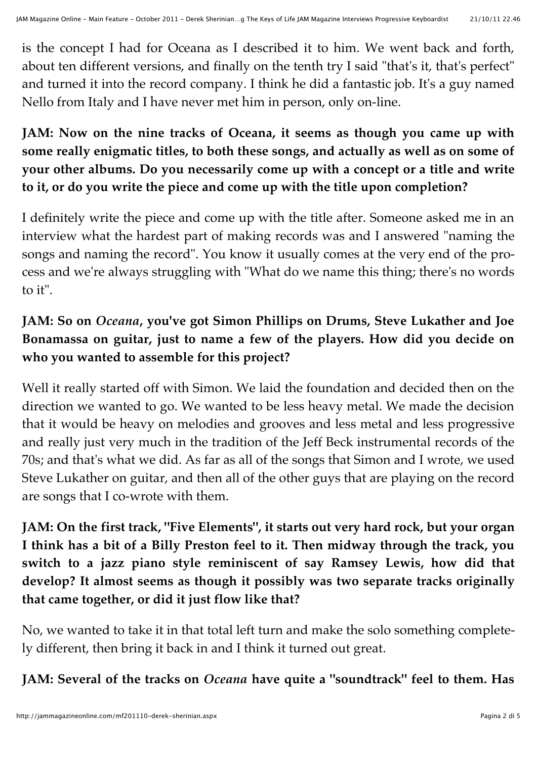is the concept I had for Oceana as I described it to him. We went back and forth, about ten different versions, and finally on the tenth try I said "that's it, that's perfect" and turned it into the record company. I think he did a fantastic job. It's a guy named Nello from Italy and I have never met him in person, only on-line.

# **JAM: Now on the nine tracks of Oceana, it seems as though you came up with some really enigmatic titles, to both these songs, and actually as well as on some of your other albums. Do you necessarily come up with a concept or a title and write to it, or do you write the piece and come up with the title upon completion?**

I definitely write the piece and come up with the title after. Someone asked me in an interview what the hardest part of making records was and I answered "naming the songs and naming the record". You know it usually comes at the very end of the process and we're always struggling with "What do we name this thing; there's no words to it".

# **JAM: So on** *Oceana***, you've got Simon Phillips on Drums, Steve Lukather and Joe Bonamassa on guitar, just to name a few of the players. How did you decide on who you wanted to assemble for this project?**

Well it really started off with Simon. We laid the foundation and decided then on the direction we wanted to go. We wanted to be less heavy metal. We made the decision that it would be heavy on melodies and grooves and less metal and less progressive and really just very much in the tradition of the Jeff Beck instrumental records of the 70s; and that's what we did. As far as all of the songs that Simon and I wrote, we used Steve Lukather on guitar, and then all of the other guys that are playing on the record are songs that I co-wrote with them.

**JAM: On the first track, "Five Elements", it starts out very hard rock, but your organ I think has a bit of a Billy Preston feel to it. Then midway through the track, you switch to a jazz piano style reminiscent of say Ramsey Lewis, how did that develop? It almost seems as though it possibly was two separate tracks originally that came together, or did it just flow like that?**

No, we wanted to take it in that total left turn and make the solo something completely different, then bring it back in and I think it turned out great.

**JAM: Several of the tracks on** *Oceana* **have quite a "soundtrack" feel to them. Has**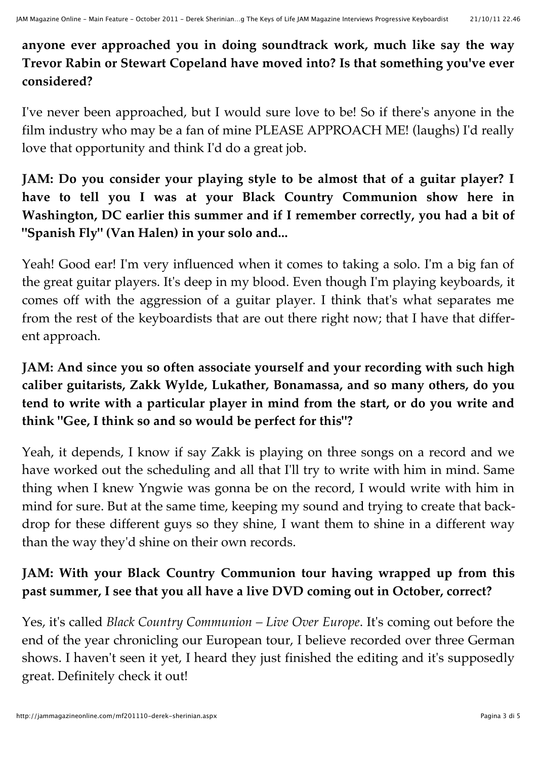#### **anyone ever approached you in doing soundtrack work, much like say the way Trevor Rabin or Stewart Copeland have moved into? Is that something you've ever considered?**

I've never been approached, but I would sure love to be! So if there's anyone in the film industry who may be a fan of mine PLEASE APPROACH ME! (laughs) I'd really love that opportunity and think I'd do a great job.

## **JAM: Do you consider your playing style to be almost that of a guitar player? I have to tell you I was at your Black Country Communion show here in Washington, DC earlier this summer and if I remember correctly, you had a bit of "Spanish Fly" (Van Halen) in your solo and...**

Yeah! Good ear! I'm very influenced when it comes to taking a solo. I'm a big fan of the great guitar players. It's deep in my blood. Even though I'm playing keyboards, it comes off with the aggression of a guitar player. I think that's what separates me from the rest of the keyboardists that are out there right now; that I have that different approach.

# **JAM: And since you so often associate yourself and your recording with such high caliber guitarists, Zakk Wylde, Lukather, Bonamassa, and so many others, do you tend to write with a particular player in mind from the start, or do you write and think "Gee, I think so and so would be perfect for this"?**

Yeah, it depends, I know if say Zakk is playing on three songs on a record and we have worked out the scheduling and all that I'll try to write with him in mind. Same thing when I knew Yngwie was gonna be on the record, I would write with him in mind for sure. But at the same time, keeping my sound and trying to create that backdrop for these different guys so they shine, I want them to shine in a different way than the way they'd shine on their own records.

# **JAM: With your Black Country Communion tour having wrapped up from this past summer, I see that you all have a live DVD coming out in October, correct?**

Yes, it's called *Black Country Communion – Live Over Europe*. It's coming out before the end of the year chronicling our European tour, I believe recorded over three German shows. I haven't seen it yet, I heard they just finished the editing and it's supposedly great. Definitely check it out!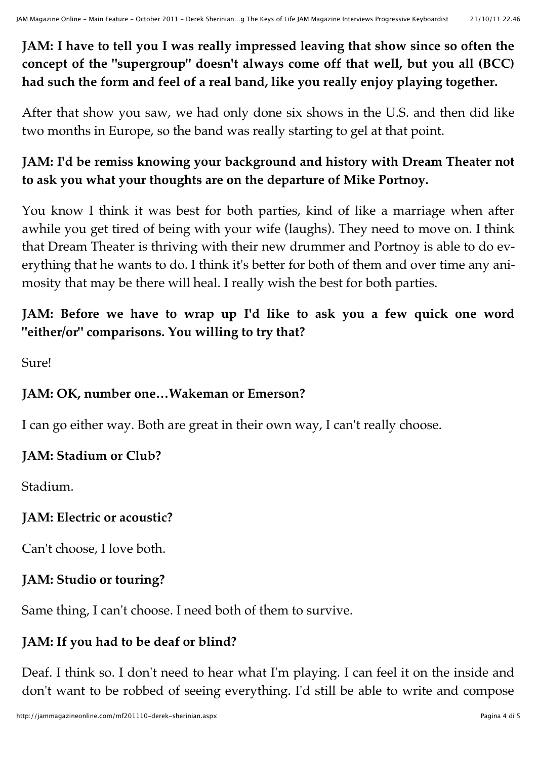#### **JAM: I have to tell you I was really impressed leaving that show since so often the concept of the "supergroup" doesn't always come off that well, but you all (BCC) had such the form and feel of a real band, like you really enjoy playing together.**

After that show you saw, we had only done six shows in the U.S. and then did like two months in Europe, so the band was really starting to gel at that point.

# **JAM: I'd be remiss knowing your background and history with Dream Theater not to ask you what your thoughts are on the departure of Mike Portnoy.**

You know I think it was best for both parties, kind of like a marriage when after awhile you get tired of being with your wife (laughs). They need to move on. I think that Dream Theater is thriving with their new drummer and Portnoy is able to do everything that he wants to do. I think it's better for both of them and over time any animosity that may be there will heal. I really wish the best for both parties.

# **JAM: Before we have to wrap up I'd like to ask you a few quick one word "either/or" comparisons. You willing to try that?**

Sure!

# **JAM: OK, number one…Wakeman or Emerson?**

I can go either way. Both are great in their own way, I can't really choose.

# **JAM: Stadium or Club?**

Stadium.

# **JAM: Electric or acoustic?**

Can't choose, I love both.

# **JAM: Studio or touring?**

Same thing, I can't choose. I need both of them to survive.

# **JAM: If you had to be deaf or blind?**

Deaf. I think so. I don't need to hear what I'm playing. I can feel it on the inside and don't want to be robbed of seeing everything. I'd still be able to write and compose